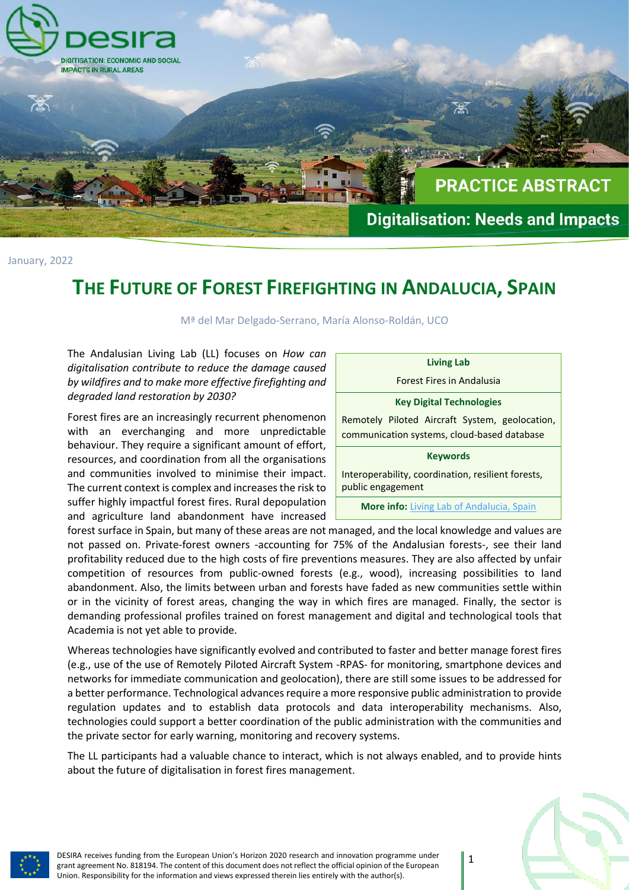

January, 2022

# **THE FUTURE OF FOREST FIREFIGHTING IN ANDALUCIA, SPAIN**

Mª del Mar Delgado-Serrano, María Alonso-Roldán, UCO

The Andalusian Living Lab (LL) focuses on *How can*  digitalisation contribute to reduce the damage cause by wildfires and to make more effective firefighting and *degraded land restoration by 2030?*

Forest fires are an increasingly recurrent phenomenon with an everchanging and more unpredictable behaviour. They require a significant amount of effort resources, and coordination from all the organisation and communities involved to minimise their impact The current context is complex and increases the risk to suffer highly impactful forest fires. Rural depopulation and agriculture land abandonment have increase

| d       | <b>Living Lab</b>                                  |  |  |  |
|---------|----------------------------------------------------|--|--|--|
| d       | <b>Forest Fires in Andalusia</b>                   |  |  |  |
|         | <b>Key Digital Technologies</b>                    |  |  |  |
| n       | Remotely Piloted Aircraft System, geolocation,     |  |  |  |
| e<br>t, | communication systems, cloud-based database        |  |  |  |
| ıs      | <b>Keywords</b>                                    |  |  |  |
| t.      | Interoperability, coordination, resilient forests, |  |  |  |
| o       | public engagement                                  |  |  |  |
| n<br>d  | <b>More info:</b> Living Lab of Andalucia, Spain   |  |  |  |

forest surface in Spain, but many of these areas are not managed, and the local knowledge and values are not passed on. Private-forest owners -accounting for 75% of the Andalusian forests-, see their land profitability reduced due to the high costs of fire preventions measures. They are also affected by unfair competition of resources from public-owned forests (e.g., wood), increasing possibilities to land abandonment. Also, the limits between urban and forests have faded as new communities settle within or in the vicinity of forest areas, changing the way in which fires are managed. Finally, the sector is demanding professional profiles trained on forest management and digital and technological tools that Academia is not yet able to provide.

Whereas technologies have significantly evolved and contributed to faster and better manage forest fires (e.g., use of the use of Remotely Piloted Aircraft System -RPAS- for monitoring, smartphone devices and networks for immediate communication and geolocation), there are still some issues to be addressed for a better performance. Technological advances require a more responsive public administration to provide regulation updates and to establish data protocols and data interoperability mechanisms. Also, technologies could support a better coordination of the public administration with the communities and the private sector for early warning, monitoring and recovery systems.

The LL participants had a valuable chance to interact, which is not always enabled, and to provide hints about the future of digitalisation in forest fires management.



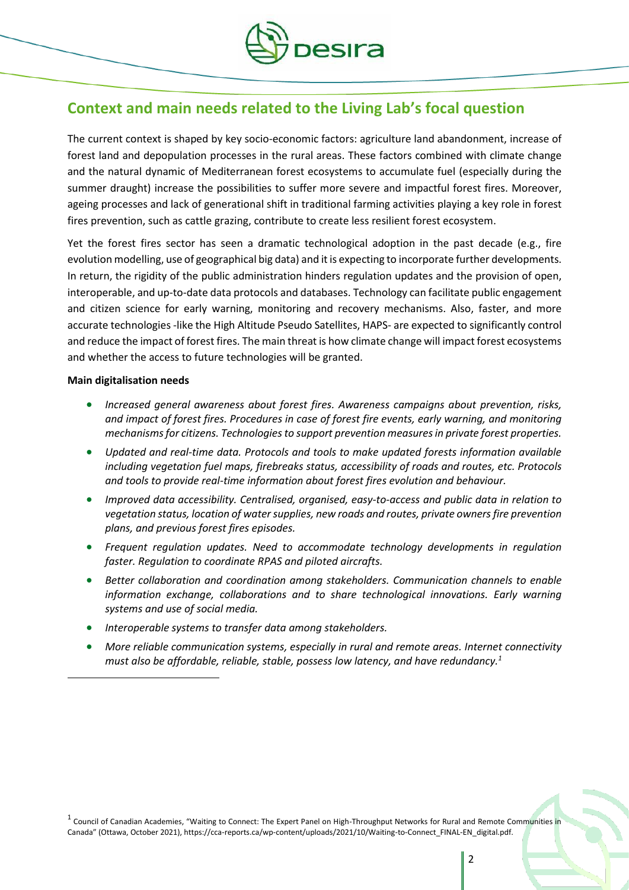

### **Context and main needs related to the Living Lab's focal question**

The current context is shaped by key socio-economic factors: agriculture land abandonment, increase of forest land and depopulation processes in the rural areas. These factors combined with climate change and the natural dynamic of Mediterranean forest ecosystems to accumulate fuel (especially during the summer draught) increase the possibilities to suffer more severe and impactful forest fires. Moreover, ageing processes and lack of generational shift in traditional farming activities playing a key role in forest fires prevention, such as cattle grazing, contribute to create less resilient forest ecosystem.

Yet the forest fires sector has seen a dramatic technological adoption in the past decade (e.g., fire evolution modelling, use of geographical big data) and it is expecting to incorporate further developments. In return, the rigidity of the public administration hinders regulation updates and the provision of open, interoperable, and up-to-date data protocols and databases. Technology can facilitate public engagement and citizen science for early warning, monitoring and recovery mechanisms. Also, faster, and more accurate technologies -like the High Altitude Pseudo Satellites, HAPS- are expected to significantly control and reduce the impact of forest fires. The main threat is how climate change will impact forest ecosystems and whether the access to future technologies will be granted.

#### **Main digitalisation needs**

 $\overline{\phantom{a}}$ 

- *Increased general awareness about forest fires. Awareness campaigns about prevention, risks, and impact of forest fires. Procedures in case of forest fire events, early warning, and monitoring mechanismsfor citizens. Technologies to support prevention measures in private forest properties.*
- *Updated and real-time data. Protocols and tools to make updated forests information available including vegetation fuel maps, firebreaks status, accessibility of roads and routes, etc. Protocols and tools to provide real-time information about forest fires evolution and behaviour.*
- *Improved data accessibility. Centralised, organised, easy-to-access and public data in relation to vegetation status, location of water supplies, new roads and routes, private owners fire prevention plans, and previous forest fires episodes.*
- *Frequent regulation updates. Need to accommodate technology developments in regulation faster. Regulation to coordinate RPAS and piloted aircrafts.*
- *Better collaboration and coordination among stakeholders. Communication channels to enable information exchange, collaborations and to share technological innovations. Early warning systems and use of social media.*
- *Interoperable systems to transfer data among stakeholders.*
- *More reliable communication systems, especially in rural and remote areas. Internet connectivity must also be affordable, reliable, stable, possess low latency, and have redundancy.<sup>1</sup>*

<sup>1</sup> Council of Canadian Academies, "Waiting to Connect: The Expert Panel on High-Throughput Networks for Rural and Remote Communities in Canada" (Ottawa, October 2021), https://cca-reports.ca/wp-content/uploads/2021/10/Waiting-to-Connect\_FINAL-EN\_digital.pdf.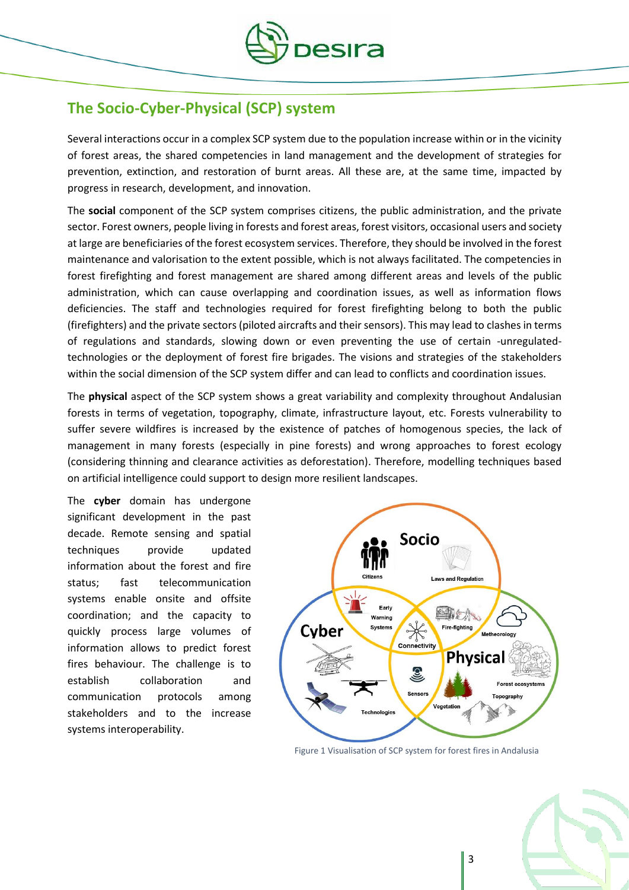

### **The Socio-Cyber-Physical (SCP) system**

Several interactions occur in a complex SCP system due to the population increase within or in the vicinity of forest areas, the shared competencies in land management and the development of strategies for prevention, extinction, and restoration of burnt areas. All these are, at the same time, impacted by progress in research, development, and innovation.

The **social** component of the SCP system comprises citizens, the public administration, and the private sector. Forest owners, people living in forests and forest areas, forest visitors, occasional users and society at large are beneficiaries of the forest ecosystem services. Therefore, they should be involved in the forest maintenance and valorisation to the extent possible, which is not always facilitated. The competencies in forest firefighting and forest management are shared among different areas and levels of the public administration, which can cause overlapping and coordination issues, as well as information flows deficiencies. The staff and technologies required for forest firefighting belong to both the public (firefighters) and the private sectors (piloted aircrafts and their sensors). This may lead to clashes in terms of regulations and standards, slowing down or even preventing the use of certain -unregulatedtechnologies or the deployment of forest fire brigades. The visions and strategies of the stakeholders within the social dimension of the SCP system differ and can lead to conflicts and coordination issues.

The **physical** aspect of the SCP system shows a great variability and complexity throughout Andalusian forests in terms of vegetation, topography, climate, infrastructure layout, etc. Forests vulnerability to suffer severe wildfires is increased by the existence of patches of homogenous species, the lack of management in many forests (especially in pine forests) and wrong approaches to forest ecology (considering thinning and clearance activities as deforestation). Therefore, modelling techniques based on artificial intelligence could support to design more resilient landscapes.

The **cyber** domain has undergone significant development in the past decade. Remote sensing and spatial techniques provide updated information about the forest and fire status; fast telecommunication systems enable onsite and offsite coordination; and the capacity to quickly process large volumes of information allows to predict forest fires behaviour. The challenge is to establish collaboration and communication protocols among stakeholders and to the increase systems interoperability.



Figure 1 Visualisation of SCP system for forest fires in Andalusia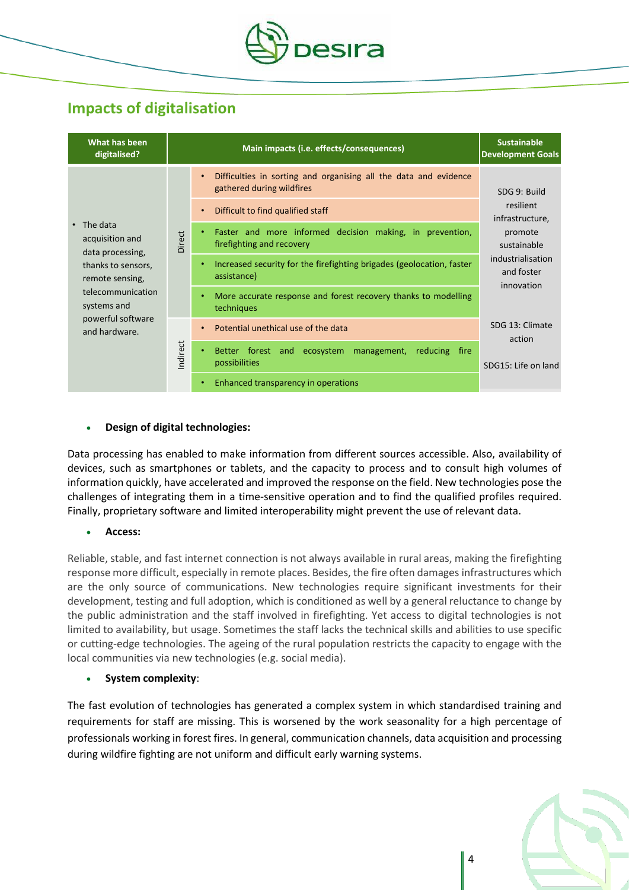

## **Impacts of digitalisation**

| What has been<br>digitalised?                           |         | Main impacts (i.e. effects/consequences)                                                                                                                     | <b>Sustainable</b><br><b>Development Goals</b> |
|---------------------------------------------------------|---------|--------------------------------------------------------------------------------------------------------------------------------------------------------------|------------------------------------------------|
|                                                         |         | Difficulties in sorting and organising all the data and evidence<br>$\bullet$<br>gathered during wildfires<br>Difficult to find qualified staff<br>$\bullet$ | SDG 9: Build<br>resilient                      |
| $\cdot$ The data<br>acquisition and<br>data processing, | Direct  | Faster and more informed decision making, in prevention,<br>٠<br>firefighting and recovery                                                                   | infrastructure,<br>promote<br>sustainable      |
| thanks to sensors,<br>remote sensing,                   |         | Increased security for the firefighting brigades (geolocation, faster<br>$\bullet$<br>assistance)                                                            | industrialisation<br>and foster<br>innovation  |
| telecommunication<br>systems and                        |         | More accurate response and forest recovery thanks to modelling<br>$\bullet$<br>techniques                                                                    |                                                |
| powerful software<br>and hardware.                      |         | Potential unethical use of the data<br>$\bullet$                                                                                                             | SDG 13: Climate<br>action                      |
|                                                         | ndirect | ecosystem management,<br>Better forest and<br>reducing<br>$\bullet$<br>fire<br>possibilities                                                                 | SDG15: Life on land                            |
|                                                         |         | Enhanced transparency in operations<br>٠                                                                                                                     |                                                |

### **Design of digital technologies:**

Data processing has enabled to make information from different sources accessible. Also, availability of devices, such as smartphones or tablets, and the capacity to process and to consult high volumes of information quickly, have accelerated and improved the response on the field. New technologies pose the challenges of integrating them in a time-sensitive operation and to find the qualified profiles required. Finally, proprietary software and limited interoperability might prevent the use of relevant data.

#### **Access:**

Reliable, stable, and fast internet connection is not always available in rural areas, making the firefighting response more difficult, especially in remote places. Besides, the fire often damages infrastructures which are the only source of communications. New technologies require significant investments for their development, testing and full adoption, which is conditioned as well by a general reluctance to change by the public administration and the staff involved in firefighting. Yet access to digital technologies is not limited to availability, but usage. Sometimes the staff lacks the technical skills and abilities to use specific or cutting-edge technologies. The ageing of the rural population restricts the capacity to engage with the local communities via new technologies (e.g. social media).

#### **System complexity**:

The fast evolution of technologies has generated a complex system in which standardised training and requirements for staff are missing. This is worsened by the work seasonality for a high percentage of professionals working in forest fires. In general, communication channels, data acquisition and processing during wildfire fighting are not uniform and difficult early warning systems.